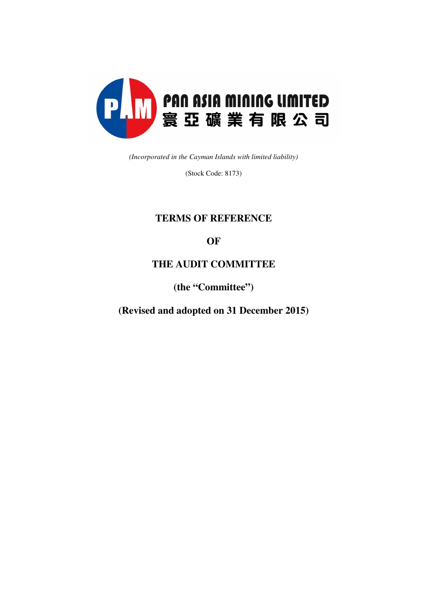

*(Incorporated in the Cayman Islands with limited liability)* 

(Stock Code: 8173)

# **TERMS OF REFERENCE**

## **OF**

## **THE AUDIT COMMITTEE**

**(the "Committee")** 

**(Revised and adopted on 31 December 2015)**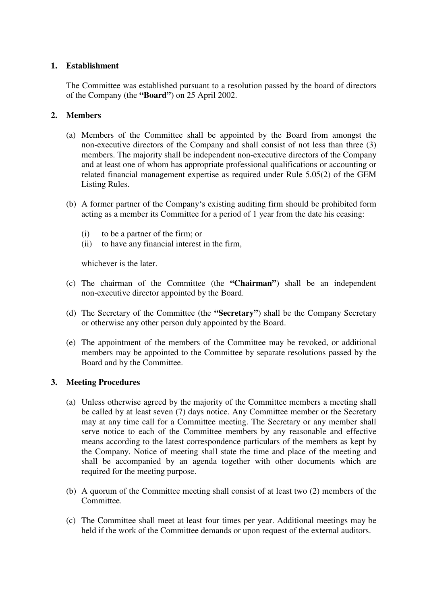## **1. Establishment**

The Committee was established pursuant to a resolution passed by the board of directors of the Company (the **"Board"**) on 25 April 2002.

## **2. Members**

- (a) Members of the Committee shall be appointed by the Board from amongst the non-executive directors of the Company and shall consist of not less than three (3) members. The majority shall be independent non-executive directors of the Company and at least one of whom has appropriate professional qualifications or accounting or related financial management expertise as required under Rule 5.05(2) of the GEM Listing Rules.
- (b) A former partner of the Company's existing auditing firm should be prohibited form acting as a member its Committee for a period of 1 year from the date his ceasing:
	- (i) to be a partner of the firm; or
	- (ii) to have any financial interest in the firm,

whichever is the later.

- (c) The chairman of the Committee (the **"Chairman"**) shall be an independent non-executive director appointed by the Board.
- (d) The Secretary of the Committee (the **"Secretary"**) shall be the Company Secretary or otherwise any other person duly appointed by the Board.
- (e) The appointment of the members of the Committee may be revoked, or additional members may be appointed to the Committee by separate resolutions passed by the Board and by the Committee.

## **3. Meeting Procedures**

- (a) Unless otherwise agreed by the majority of the Committee members a meeting shall be called by at least seven (7) days notice. Any Committee member or the Secretary may at any time call for a Committee meeting. The Secretary or any member shall serve notice to each of the Committee members by any reasonable and effective means according to the latest correspondence particulars of the members as kept by the Company. Notice of meeting shall state the time and place of the meeting and shall be accompanied by an agenda together with other documents which are required for the meeting purpose.
- (b) A quorum of the Committee meeting shall consist of at least two (2) members of the Committee.
- (c) The Committee shall meet at least four times per year. Additional meetings may be held if the work of the Committee demands or upon request of the external auditors.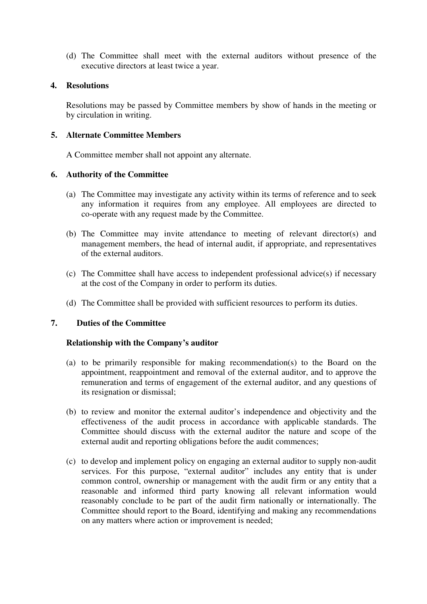(d) The Committee shall meet with the external auditors without presence of the executive directors at least twice a year.

#### **4. Resolutions**

Resolutions may be passed by Committee members by show of hands in the meeting or by circulation in writing.

## **5. Alternate Committee Members**

A Committee member shall not appoint any alternate.

## **6. Authority of the Committee**

- (a) The Committee may investigate any activity within its terms of reference and to seek any information it requires from any employee. All employees are directed to co-operate with any request made by the Committee.
- (b) The Committee may invite attendance to meeting of relevant director(s) and management members, the head of internal audit, if appropriate, and representatives of the external auditors.
- (c) The Committee shall have access to independent professional advice(s) if necessary at the cost of the Company in order to perform its duties.
- (d) The Committee shall be provided with sufficient resources to perform its duties.

#### **7. Duties of the Committee**

#### **Relationship with the Company's auditor**

- (a) to be primarily responsible for making recommendation(s) to the Board on the appointment, reappointment and removal of the external auditor, and to approve the remuneration and terms of engagement of the external auditor, and any questions of its resignation or dismissal;
- (b) to review and monitor the external auditor's independence and objectivity and the effectiveness of the audit process in accordance with applicable standards. The Committee should discuss with the external auditor the nature and scope of the external audit and reporting obligations before the audit commences;
- (c) to develop and implement policy on engaging an external auditor to supply non-audit services. For this purpose, "external auditor" includes any entity that is under common control, ownership or management with the audit firm or any entity that a reasonable and informed third party knowing all relevant information would reasonably conclude to be part of the audit firm nationally or internationally. The Committee should report to the Board, identifying and making any recommendations on any matters where action or improvement is needed;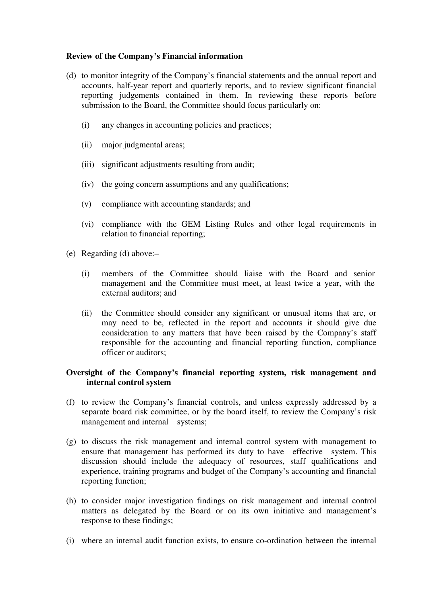## **Review of the Company's Financial information**

- (d) to monitor integrity of the Company's financial statements and the annual report and accounts, half-year report and quarterly reports, and to review significant financial reporting judgements contained in them. In reviewing these reports before submission to the Board, the Committee should focus particularly on:
	- (i) any changes in accounting policies and practices;
	- (ii) major judgmental areas;
	- (iii) significant adjustments resulting from audit;
	- (iv) the going concern assumptions and any qualifications;
	- (v) compliance with accounting standards; and
	- (vi) compliance with the GEM Listing Rules and other legal requirements in relation to financial reporting;
- (e) Regarding (d) above:–
	- (i) members of the Committee should liaise with the Board and senior management and the Committee must meet, at least twice a year, with the external auditors; and
	- (ii) the Committee should consider any significant or unusual items that are, or may need to be, reflected in the report and accounts it should give due consideration to any matters that have been raised by the Company's staff responsible for the accounting and financial reporting function, compliance officer or auditors;

## **Oversight of the Company's financial reporting system, risk management and internal control system**

- (f) to review the Company's financial controls, and unless expressly addressed by a separate board risk committee, or by the board itself, to review the Company's risk management and internal systems;
- (g) to discuss the risk management and internal control system with management to ensure that management has performed its duty to have effective system. This discussion should include the adequacy of resources, staff qualifications and experience, training programs and budget of the Company's accounting and financial reporting function;
- (h) to consider major investigation findings on risk management and internal control matters as delegated by the Board or on its own initiative and management's response to these findings;
- (i) where an internal audit function exists, to ensure co-ordination between the internal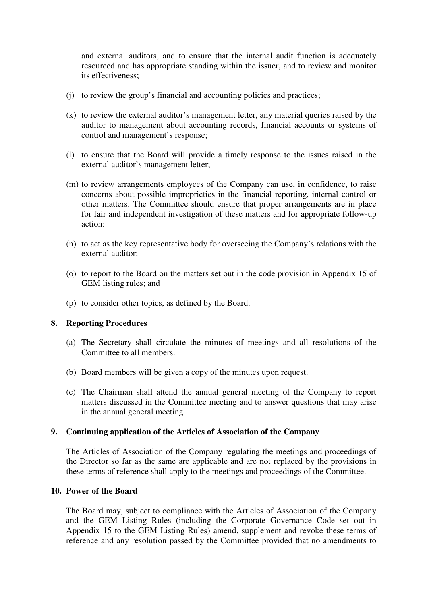and external auditors, and to ensure that the internal audit function is adequately resourced and has appropriate standing within the issuer, and to review and monitor its effectiveness;

- (j) to review the group's financial and accounting policies and practices;
- (k) to review the external auditor's management letter, any material queries raised by the auditor to management about accounting records, financial accounts or systems of control and management's response;
- (l) to ensure that the Board will provide a timely response to the issues raised in the external auditor's management letter;
- (m) to review arrangements employees of the Company can use, in confidence, to raise concerns about possible improprieties in the financial reporting, internal control or other matters. The Committee should ensure that proper arrangements are in place for fair and independent investigation of these matters and for appropriate follow-up action;
- (n) to act as the key representative body for overseeing the Company's relations with the external auditor;
- (o) to report to the Board on the matters set out in the code provision in Appendix 15 of GEM listing rules; and
- (p) to consider other topics, as defined by the Board.

#### **8. Reporting Procedures**

- (a) The Secretary shall circulate the minutes of meetings and all resolutions of the Committee to all members.
- (b) Board members will be given a copy of the minutes upon request.
- (c) The Chairman shall attend the annual general meeting of the Company to report matters discussed in the Committee meeting and to answer questions that may arise in the annual general meeting.

#### **9. Continuing application of the Articles of Association of the Company**

The Articles of Association of the Company regulating the meetings and proceedings of the Director so far as the same are applicable and are not replaced by the provisions in these terms of reference shall apply to the meetings and proceedings of the Committee.

### **10. Power of the Board**

The Board may, subject to compliance with the Articles of Association of the Company and the GEM Listing Rules (including the Corporate Governance Code set out in Appendix 15 to the GEM Listing Rules) amend, supplement and revoke these terms of reference and any resolution passed by the Committee provided that no amendments to